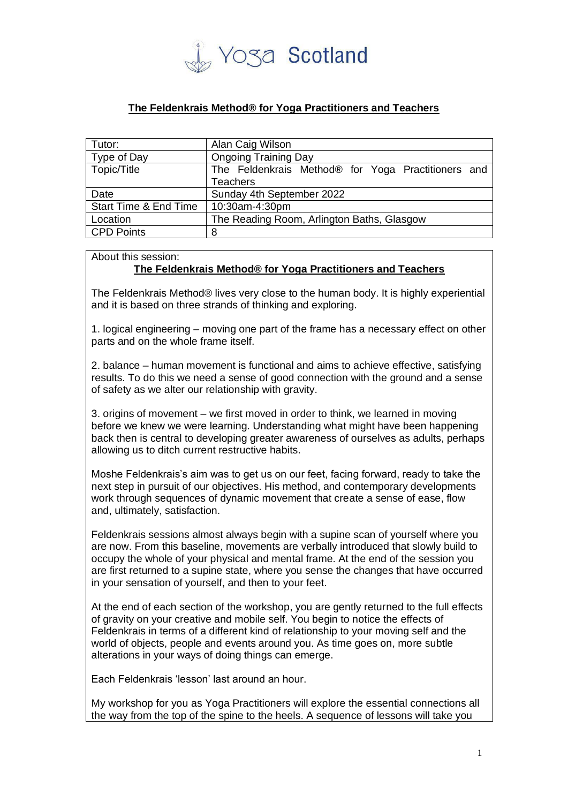

## **The Feldenkrais Method® for Yoga Practitioners and Teachers**

| Tutor:                           | Alan Caig Wilson                                                      |
|----------------------------------|-----------------------------------------------------------------------|
| Type of Day                      | <b>Ongoing Training Day</b>                                           |
| Topic/Title                      | The Feldenkrais Method® for Yoga Practitioners and<br><b>Teachers</b> |
|                                  |                                                                       |
| Date                             | Sunday 4th September 2022                                             |
| <b>Start Time &amp; End Time</b> | 10:30am-4:30pm                                                        |
| Location                         | The Reading Room, Arlington Baths, Glasgow                            |
| <b>CPD Points</b>                | 8                                                                     |

About this session:

## **The Feldenkrais Method® for Yoga Practitioners and Teachers**

The Feldenkrais Method® lives very close to the human body. It is highly experiential and it is based on three strands of thinking and exploring.

1. logical engineering – moving one part of the frame has a necessary effect on other parts and on the whole frame itself.

2. balance – human movement is functional and aims to achieve effective, satisfying results. To do this we need a sense of good connection with the ground and a sense of safety as we alter our relationship with gravity.

3. origins of movement – we first moved in order to think, we learned in moving before we knew we were learning. Understanding what might have been happening back then is central to developing greater awareness of ourselves as adults, perhaps allowing us to ditch current restructive habits.

Moshe Feldenkrais's aim was to get us on our feet, facing forward, ready to take the next step in pursuit of our objectives. His method, and contemporary developments work through sequences of dynamic movement that create a sense of ease, flow and, ultimately, satisfaction.

Feldenkrais sessions almost always begin with a supine scan of yourself where you are now. From this baseline, movements are verbally introduced that slowly build to occupy the whole of your physical and mental frame. At the end of the session you are first returned to a supine state, where you sense the changes that have occurred in your sensation of yourself, and then to your feet.

At the end of each section of the workshop, you are gently returned to the full effects of gravity on your creative and mobile self. You begin to notice the effects of Feldenkrais in terms of a different kind of relationship to your moving self and the world of objects, people and events around you. As time goes on, more subtle alterations in your ways of doing things can emerge.

Each Feldenkrais 'lesson' last around an hour.

My workshop for you as Yoga Practitioners will explore the essential connections all the way from the top of the spine to the heels. A sequence of lessons will take you